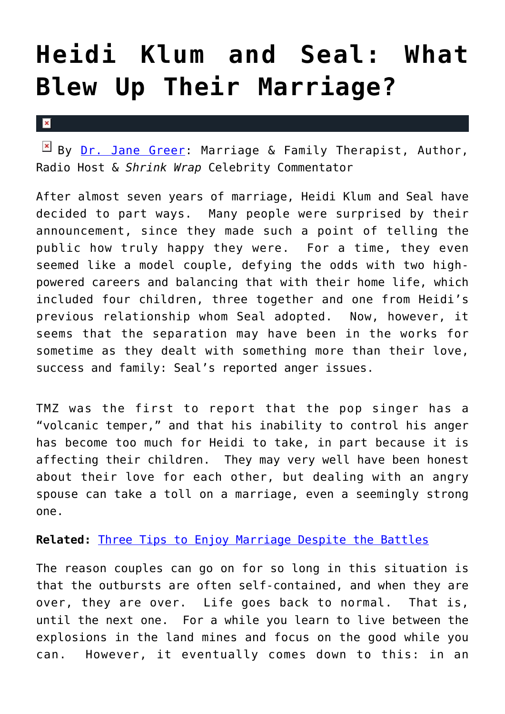## **[Heidi Klum and Seal: What](https://cupidspulse.com/26114/project-runway-heidi-klum-seal-what-went-wrong-caused-separation-split-divorce/) [Blew Up Their Marriage?](https://cupidspulse.com/26114/project-runway-heidi-klum-seal-what-went-wrong-caused-separation-split-divorce/)**

## $\pmb{\times}$

 $\boxed{\times}$  By <u>Dr. Jane Greer</u>: Marriage & Family Therapist, Author, Radio Host & *Shrink Wrap* Celebrity Commentator

After almost seven years of marriage, Heidi Klum and Seal have decided to part ways. Many people were surprised by their announcement, since they made such a point of telling the public how truly happy they were. For a time, they even seemed like a model couple, defying the odds with two highpowered careers and balancing that with their home life, which included four children, three together and one from Heidi's previous relationship whom Seal adopted. Now, however, it seems that the separation may have been in the works for sometime as they dealt with something more than their love, success and family: Seal's reported anger issues.

TMZ was the first to report that the pop singer has a "volcanic temper," and that his inability to control his anger has become too much for Heidi to take, in part because it is affecting their children. They may very well have been honest about their love for each other, but dealing with an angry spouse can take a toll on a marriage, even a seemingly strong one.

## **Related:** [Three Tips to Enjoy Marriage Despite the Battles](http://cupidspulse.com/three-tips-enjoy-marriage-despite-battles-kim-kardashian-kris-humphries-newlyweds/)

The reason couples can go on for so long in this situation is that the outbursts are often self-contained, and when they are over, they are over. Life goes back to normal. That is, until the next one. For a while you learn to live between the explosions in the land mines and focus on the good while you can. However, it eventually comes down to this: in an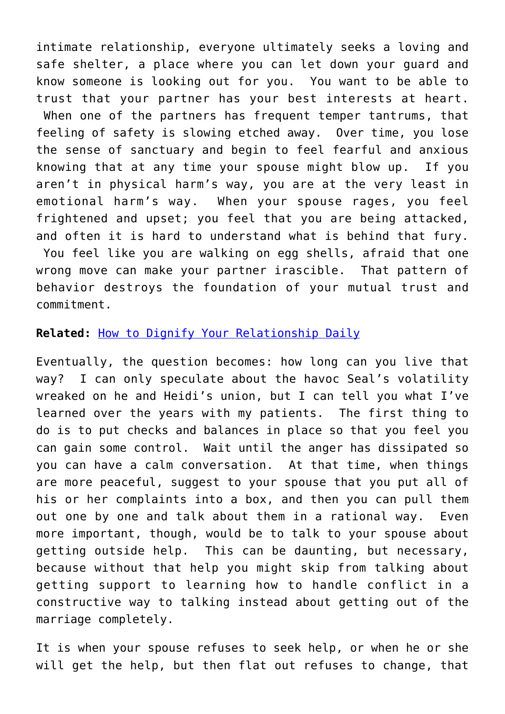intimate relationship, everyone ultimately seeks a loving and safe shelter, a place where you can let down your guard and know someone is looking out for you. You want to be able to trust that your partner has your best interests at heart. When one of the partners has frequent temper tantrums, that feeling of safety is slowing etched away. Over time, you lose the sense of sanctuary and begin to feel fearful and anxious knowing that at any time your spouse might blow up. If you aren't in physical harm's way, you are at the very least in emotional harm's way. When your spouse rages, you feel frightened and upset; you feel that you are being attacked, and often it is hard to understand what is behind that fury. You feel like you are walking on egg shells, afraid that one wrong move can make your partner irascible. That pattern of behavior destroys the foundation of your mutual trust and commitment.

## **Related:** [How to Dignify Your Relationship Daily](http://cupidspulse.com/how-to-dignify-your-intimate-relationship-daily/)

Eventually, the question becomes: how long can you live that way? I can only speculate about the havoc Seal's volatility wreaked on he and Heidi's union, but I can tell you what I've learned over the years with my patients. The first thing to do is to put checks and balances in place so that you feel you can gain some control. Wait until the anger has dissipated so you can have a calm conversation. At that time, when things are more peaceful, suggest to your spouse that you put all of his or her complaints into a box, and then you can pull them out one by one and talk about them in a rational way. Even more important, though, would be to talk to your spouse about getting outside help. This can be daunting, but necessary, because without that help you might skip from talking about getting support to learning how to handle conflict in a constructive way to talking instead about getting out of the marriage completely.

It is when your spouse refuses to seek help, or when he or she will get the help, but then flat out refuses to change, that